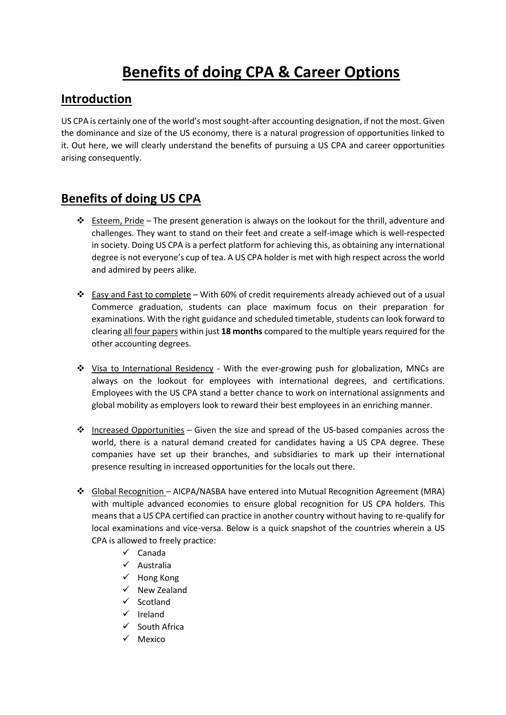## **Benefits of doing CPA & Career Options**

## **Introduction**

US CPA is certainly one of the world's most sought-after accounting designation, if not the most. Given the dominance and size of the US economy, there is a natural progression of opportunities linked to it. Out here, we will clearly understand the benefits of pursuing a US CPA and career opportunities arising consequently.

## **Benefits of doing US CPA**

- $\cdot \cdot$  Esteem, Pride The present generation is always on the lookout for the thrill, adventure and challenges. They want to stand on their feet and create a self-image which is well-respected in society. Doing US CPA is a perfect platform for achieving this, as obtaining any international degree is not everyone's cup of tea. A US CPA holder is met with high respect across the world and admired by peers alike.
- Easy and Fast to complete With 60% of credit requirements already achieved out of a usual Commerce graduation, students can place maximum focus on their preparation for examinations. With the right guidance and scheduled timetable, students can look forward to clearing all four papers within just **18 months** compared to the multiple years required for the other accounting degrees.
- Visa to International Residency With the ever-growing push for globalization, MNCs are always on the lookout for employees with international degrees, and certifications. Employees with the US CPA stand a better chance to work on international assignments and global mobility as employers look to reward their best employees in an enriching manner.
- $\div$  Increased Opportunities Given the size and spread of the US-based companies across the world, there is a natural demand created for candidates having a US CPA degree. These companies have set up their branches, and subsidiaries to mark up their international presence resulting in increased opportunities for the locals out there.
- Global Recognition AICPA/NASBA have entered into Mutual Recognition Agreement (MRA) with multiple advanced economies to ensure global recognition for US CPA holders. This means that a US CPA certified can practice in another country without having to re-qualify for local examinations and vice-versa. Below is a quick snapshot of the countries wherein a US CPA is allowed to freely practice:
	- $\checkmark$  Canada
	- $\checkmark$  Australia
	- $\checkmark$  Hong Kong
	- $\checkmark$  New Zealand
	- $\checkmark$  Scotland
	- $\checkmark$  Ireland
	- $\checkmark$  South Africa
	- $\checkmark$  Mexico